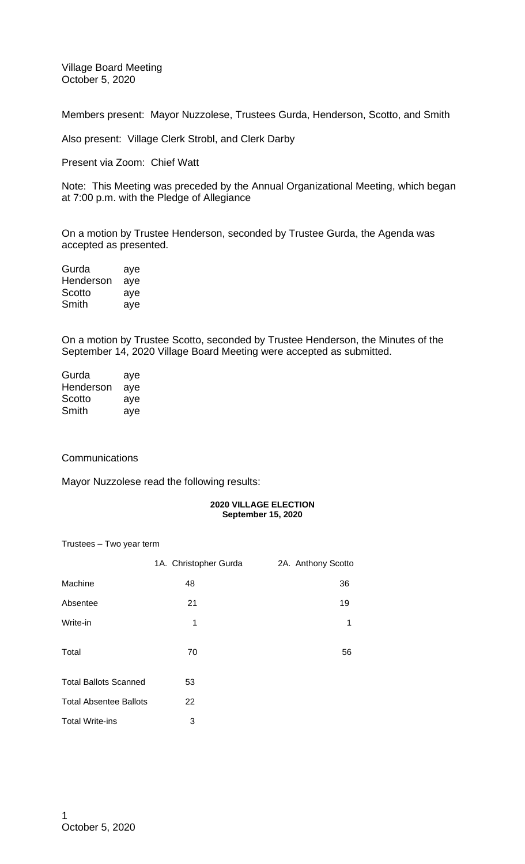Village Board Meeting October 5, 2020

Members present: Mayor Nuzzolese, Trustees Gurda, Henderson, Scotto, and Smith

Also present: Village Clerk Strobl, and Clerk Darby

Present via Zoom: Chief Watt

Note: This Meeting was preceded by the Annual Organizational Meeting, which began at 7:00 p.m. with the Pledge of Allegiance

On a motion by Trustee Henderson, seconded by Trustee Gurda, the Agenda was accepted as presented.

| Gurda     | aye |
|-----------|-----|
| Henderson | aye |
| Scotto    | aye |
| Smith     | aye |

On a motion by Trustee Scotto, seconded by Trustee Henderson, the Minutes of the September 14, 2020 Village Board Meeting were accepted as submitted.

| Gurda     | aye |
|-----------|-----|
| Henderson | aye |
| Scotto    | aye |
| Smith     | aye |

## **Communications**

Mayor Nuzzolese read the following results:

## **2020 VILLAGE ELECTION September 15, 2020**

Trustees – Two year term

|                               | 1A. Christopher Gurda | 2A. Anthony Scotto |
|-------------------------------|-----------------------|--------------------|
| Machine                       | 48                    | 36                 |
| Absentee                      | 21                    | 19                 |
| Write-in                      | 1                     | 1                  |
| Total                         | 70                    | 56                 |
| <b>Total Ballots Scanned</b>  | 53                    |                    |
| <b>Total Absentee Ballots</b> | 22                    |                    |
| <b>Total Write-ins</b>        | 3                     |                    |